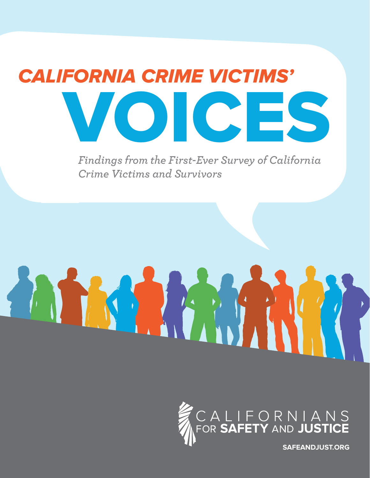# California Crime Victims' VOICE

*Findings from the First-Ever Survey of California Crime Victims and Survivors* 

MAGAS



**SAFEANDJUST.ORG**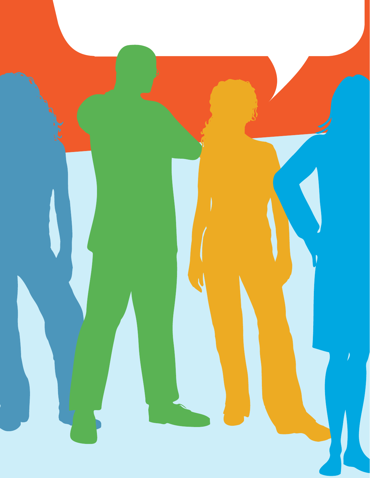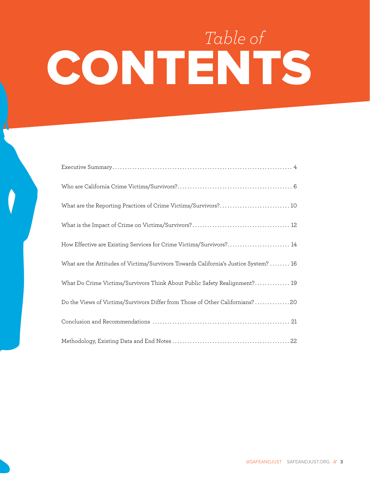# *Table of* CONTENTS

| What are the Reporting Practices of Crime Victims/Survivors? 10                      |
|--------------------------------------------------------------------------------------|
|                                                                                      |
| How Effective are Existing Services for Crime Victims/Survivors? 14                  |
| What are the Attitudes of Victims/Survivors Towards California's Justice System?  16 |
| What Do Crime Victims/Survivors Think About Public Safety Realignment? 19            |
| Do the Views of Victims/Survivors Differ from Those of Other Californians?20         |
|                                                                                      |
|                                                                                      |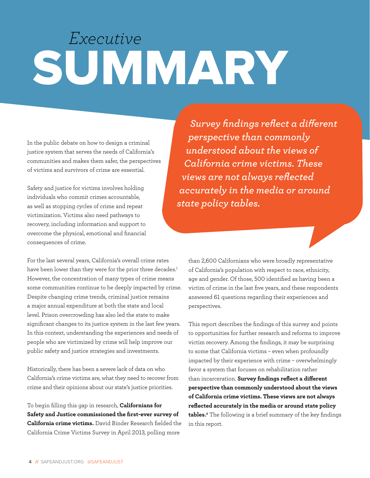# SUMMARY *Executive*

In the public debate on how to design a criminal justice system that serves the needs of California's communities and makes them safer, the perspectives of victims and survivors of crime are essential.

Safety and justice for victims involves holding individuals who commit crimes accountable, as well as stopping cycles of crime and repeat victimization. Victims also need pathways to recovery, including information and support to overcome the physical, emotional and financial consequences of crime.

For the last several years, California's overall crime rates have been lower than they were for the prior three decades.<sup>1</sup> However, the concentration of many types of crime means some communities continue to be deeply impacted by crime. Despite changing crime trends, criminal justice remains a major annual expenditure at both the state and local level. Prison overcrowding has also led the state to make significant changes to its justice system in the last few years. In this context, understanding the experiences and needs of people who are victimized by crime will help improve our public safety and justice strategies and investments.

Historically, there has been a severe lack of data on who California's crime victims are, what they need to recover from crime and their opinions about our state's justice priorities.

To begin filling this gap in research, **Californians for Safety and Justice commissioned the first-ever survey of California crime victims.** David Binder Research fielded the California Crime Victims Survey in April 2013, polling more

*Survey findings reflect a different perspective than commonly understood about the views of California crime victims. These views are not always reflected accurately in the media or around state policy tables.* 

than 2,600 Californians who were broadly representative of California's population with respect to race, ethnicity, age and gender. Of those, 500 identified as having been a victim of crime in the last five years, and these respondents answered 61 questions regarding their experiences and perspectives.

This report describes the findings of this survey and points to opportunities for further research and reforms to improve victim recovery. Among the findings, it may be surprising to some that California victims – even when profoundly impacted by their experience with crime – overwhelmingly favor a system that focuses on rehabilitation rather than incarceration. **Survey findings reflect a different perspective than commonly understood about the views of California crime victims. These views are not always reflected accurately in the media or around state policy tables.2** The following is a brief summary of the key findings in this report.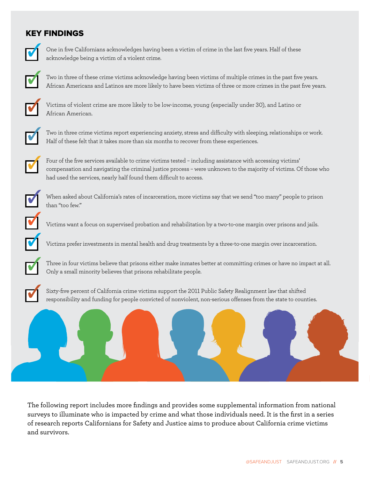#### Key FINDINGS



One in five Californians acknowledges having been a victim of crime in the last five years. Half of these acknowledge being a victim of a violent crime.



Two in three of these crime victims acknowledge having been victims of multiple crimes in the past five years. African Americans and Latinos are more likely to have been victims of three or more crimes in the past five years.



Victims of violent crime are more likely to be low-income, young (especially under 30), and Latino or African American.



Two in three crime victims report experiencing anxiety, stress and difficulty with sleeping, relationships or work. Half of these felt that it takes more than six months to recover from these experiences.



Four of the five services available to crime victims tested – including assistance with accessing victims' compensation and navigating the criminal justice process – were unknown to the majority of victims. Of those who had used the services, nearly half found them difficult to access.



When asked about California's rates of incarceration, more victims say that we send "too many" people to prison than "too few."



Victims want a focus on supervised probation and rehabilitation by a two-to-one margin over prisons and jails.





Three in four victims believe that prisons either make inmates better at committing crimes or have no impact at all. Only a small minority believes that prisons rehabilitate people.



Sixty-five percent of California crime victims support the 2011 Public Safety Realignment law that shifted responsibility and funding for people convicted of nonviolent, non-serious offenses from the state to counties.



The following report includes more findings and provides some supplemental information from national surveys to illuminate who is impacted by crime and what those individuals need. It is the first in a series of research reports Californians for Safety and Justice aims to produce about California crime victims and survivors.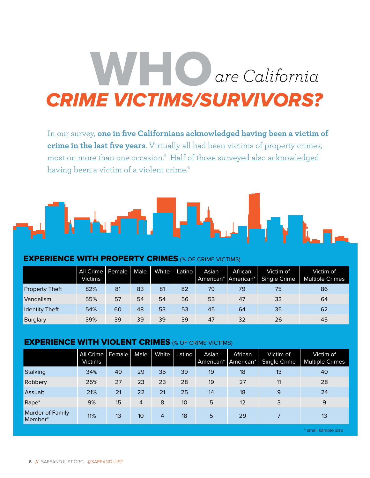# Who*are California* Crime Victims/Survivors?

In our survey, **one in five Californians acknowledged having been a victim of crime in the last five years**. Virtually all had been victims of property crimes, most on more than one occasion. 3 Half of those surveyed also acknowledged having been a victim of a violent crime. 4



#### **EXPERIENCE WITH PROPERTY CRIMES (% OF CRIME VICTIMS)**

|                       | All Crime   Female   Male<br>Victims |    |    | White | Latino | Asian | <b>African</b><br>American*   American* | Victim of<br>Single Crime | Victim of<br><b>Multiple Crimes</b> |
|-----------------------|--------------------------------------|----|----|-------|--------|-------|-----------------------------------------|---------------------------|-------------------------------------|
| <b>Property Theft</b> | 82%                                  | 81 | 83 | 81    | 82     | 79    | 79                                      | 75                        | 86                                  |
| Vandalism             | 55%                                  | 57 | 54 | 54    | 56     | 53    | 47                                      | 33                        | 64                                  |
| <b>Identity Theft</b> | 54%                                  | 60 | 48 | 53    | 53     | 45    | 64                                      | 35                        | 62                                  |
| Burglary              | 39%                                  | 39 | 39 | 39    | 39     | 47    | 32                                      | 26                        | 45                                  |

#### **EXPERIENCE WITH VIOLENT CRIMES (% OF CRIME VICTIMS)**

|                             | All Crime Female<br><b>Victims</b> |    | Male | White | Latino | Asian<br>American* | African<br>American* | Victim of<br>Single Crime | Victim of<br><b>Multiple Crimes</b> |
|-----------------------------|------------------------------------|----|------|-------|--------|--------------------|----------------------|---------------------------|-------------------------------------|
| <b>Stalking</b>             | 34%                                | 40 | 29   | 35    | 39     | 19                 | 18                   | 13                        | 40                                  |
| Robbery                     | 25%                                | 27 | 23   | 23    | 28     | 19                 | 27                   | 11                        | 28                                  |
| Assualt                     | 21%                                | 21 | 22   | 21    | 25     | 14                 | 18                   | 9                         | 24                                  |
| Rape*                       | 9%                                 | 15 | 4    | 8     | 10     | 5                  | 12                   | 3                         | 9                                   |
| Murder of Family<br>Member* | 11%                                | 13 | 10   | 4     | 18     | 5                  | 29                   | 7                         | 13                                  |

small sample size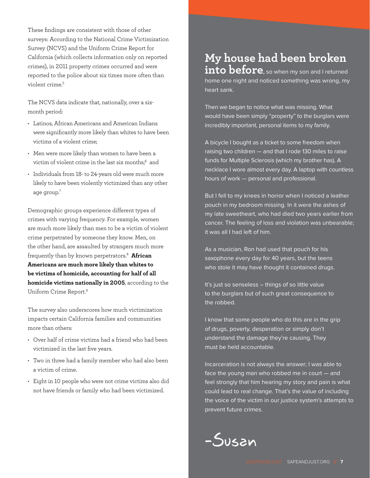These findings are consistent with those of other surveys: According to the National Crime Victimization Survey (NCVS) and the Uniform Crime Report for California (which collects information only on reported crimes), in 2011 property crimes occurred and were reported to the police about six times more often than violent crime. 5

The NCVS data indicate that, nationally, over a sixmonth period:

- • Latinos, African Americans and American Indians were significantly more likely than whites to have been victims of a violent crime;
- Men were more likely than women to have been a victim of violent crime in the last six months;6 and
- Individuals from 18- to 24-years old were much more likely to have been violently victimized than any other age group. 7

Demographic groups experience different types of crimes with varying frequency. For example, women are much more likely than men to be a victim of violent crime perpetrated by someone they know. Men, on the other hand, are assaulted by strangers much more frequently than by known perpetrators. 8 **African Americans are much more likely than whites to be victims of homicide, accounting for half of all homicide victims nationally in 2005**, according to the Uniform Crime Report. 9

The survey also underscores how much victimization impacts certain California families and communities more than others:

- • Over half of crime victims had a friend who had been victimized in the last five years.
- Two in three had a family member who had also been a victim of crime.
- • Eight in 10 people who were not crime victims also did not have friends or family who had been victimized.

### **My house had been broken**

**into before,** so when my son and I returned home one night and noticed something was wrong, my heart sank.

Then we began to notice what was missing. What would have been simply "property" to the burglars were incredibly important, personal items to my family.

A bicycle I bought as a ticket to some freedom when raising two children — and that I rode 130 miles to raise funds for Multiple Sclerosis (which my brother has). A necklace I wore almost every day. A laptop with countless hours of work — personal and professional.

But I fell to my knees in horror when I noticed a leather pouch in my bedroom missing. In it were the ashes of my late sweetheart, who had died two years earlier from cancer. The feeling of loss and violation was unbearable; it was all I had left of him.

As a musician, Ron had used that pouch for his saxophone every day for 40 years, but the teens who stole it may have thought it contained drugs.

It's just so senseless – things of so little value to the burglars but of such great consequence to the robbed.

I know that some people who do this are in the grip of drugs, poverty, desperation or simply don't understand the damage they're causing. They must be held accountable.

Incarceration is not always the answer; I was able to face the young man who robbed me in court — and feel strongly that him hearing my story and pain is what could lead to real change. That's the value of including the voice of the victim in our justice system's attempts to prevent future crimes.

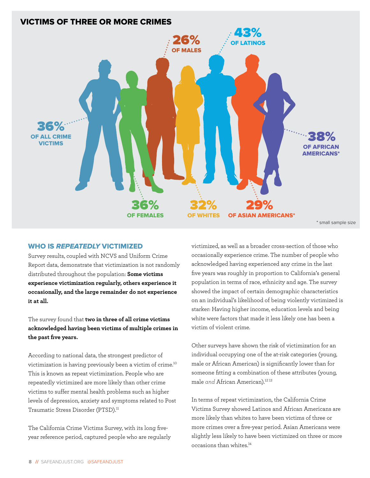

#### WHO IS REPEATEDLY VICTIMIZED

Survey results, coupled with NCVS and Uniform Crime Report data, demonstrate that victimization is not randomly distributed throughout the population: **Some victims experience victimization regularly, others experience it occasionally, and the large remainder do not experience it at all.** 

The survey found that **two in three of all crime victims acknowledged having been victims of multiple crimes in the past five years.** 

According to national data, the strongest predictor of victimization is having previously been a victim of crime. 10 This is known as repeat victimization. People who are repeatedly victimized are more likely than other crime victims to suffer mental health problems such as higher levels of depression, anxiety and symptoms related to Post Traumatic Stress Disorder (PTSD). 11

The California Crime Victims Survey, with its long fiveyear reference period, captured people who are regularly

victimized, as well as a broader cross-section of those who occasionally experience crime. The number of people who acknowledged having experienced any crime in the last five years was roughly in proportion to California's general population in terms of race, ethnicity and age. The survey showed the impact of certain demographic characteristics on an individual's likelihood of being violently victimized is starker: Having higher income, education levels and being white were factors that made it less likely one has been a victim of violent crime.

Other surveys have shown the risk of victimization for an individual occupying one of the at-risk categories (young, male or African American) is significantly lower than for someone fitting a combination of these attributes (young, male *and* African American). 12 13

In terms of repeat victimization, the California Crime Victims Survey showed Latinos and African Americans are more likely than whites to have been victims of three or more crimes over a five-year period. Asian Americans were slightly less likely to have been victimized on three or more occasions than whites. 14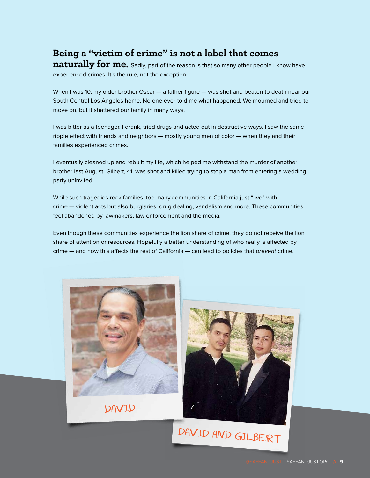#### **Being a "victim of crime" is not a label that comes**

**naturally for me.** Sadly, part of the reason is that so many other people I know have experienced crimes. It's the rule, not the exception.

When I was 10, my older brother Oscar — a father figure — was shot and beaten to death near our South Central Los Angeles home. No one ever told me what happened. We mourned and tried to move on, but it shattered our family in many ways.

I was bitter as a teenager. I drank, tried drugs and acted out in destructive ways. I saw the same ripple effect with friends and neighbors — mostly young men of color — when they and their families experienced crimes.

I eventually cleaned up and rebuilt my life, which helped me withstand the murder of another brother last August. Gilbert, 41, was shot and killed trying to stop a man from entering a wedding party uninvited.

While such tragedies rock families, too many communities in California just "live" with crime — violent acts but also burglaries, drug dealing, vandalism and more. These communities feel abandoned by lawmakers, law enforcement and the media.

Even though these communities experience the lion share of crime, they do not receive the lion share of attention or resources. Hopefully a better understanding of who really is affected by crime — and how this affects the rest of California — can lead to policies that prevent crime.



DAVID



## DAVID AND GILBERT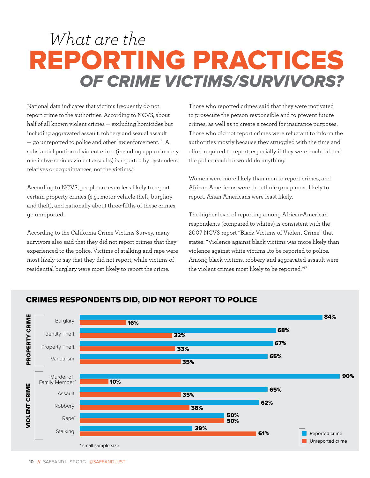## Reporting Practices *What are the*  of Crime Victims/Survivors?

National data indicates that victims frequently do not report crime to the authorities. According to NCVS, about half of all known violent crimes — excluding homicides but including aggravated assault, robbery and sexual assault — go unreported to police and other law enforcement. 15 A substantial portion of violent crime (including approximately one in five serious violent assaults) is reported by bystanders, relatives or acquaintances, not the victims. 16

According to NCVS, people are even less likely to report certain property crimes (e.g., motor vehicle theft, burglary and theft), and nationally about three-fifths of these crimes go unreported.

According to the California Crime Victims Survey, many survivors also said that they did not report crimes that they experienced to the police. Victims of stalking and rape were most likely to say that they did not report, while victims of residential burglary were most likely to report the crime.

Those who reported crimes said that they were motivated to prosecute the person responsible and to prevent future crimes, as well as to create a record for insurance purposes. Those who did not report crimes were reluctant to inform the authorities mostly because they struggled with the time and effort required to report, especially if they were doubtful that the police could or would do anything.

Women were more likely than men to report crimes, and African Americans were the ethnic group most likely to report. Asian Americans were least likely.

The higher level of reporting among African-American respondents (compared to whites) is consistent with the 2007 NCVS report "Black Victims of Violent Crime" that states: "Violence against black victims was more likely than violence against white victims…to be reported to police. Among black victims, robbery and aggravated assault were the violent crimes most likely to be reported."17



#### Crimes Respondents Did, Did Not Report to Police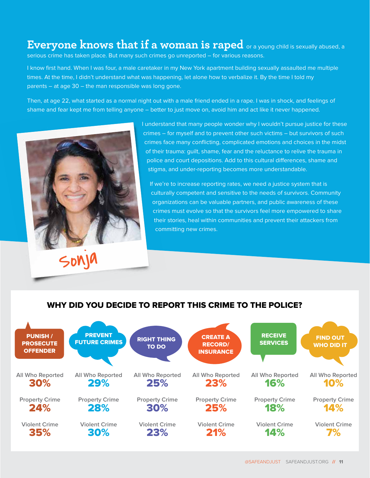### **Everyone knows that if a woman is raped** or a young child is sexually abused, a

serious crime has taken place. But many such crimes go unreported – for various reasons.

I know first hand. When I was four, a male caretaker in my New York apartment building sexually assaulted me multiple times. At the time, I didn't understand what was happening, let alone how to verbalize it. By the time I told my parents – at age 30 – the man responsible was long gone.

Then, at age 22, what started as a normal night out with a male friend ended in a rape. I was in shock, and feelings of shame and fear kept me from telling anyone – better to just move on, avoid him and act like it never happened.



I understand that many people wonder why I wouldn't pursue justice for these crimes – for myself and to prevent other such victims – but survivors of such crimes face many conflicting, complicated emotions and choices in the midst of their trauma: guilt, shame, fear and the reluctance to relive the trauma in police and court depositions. Add to this cultural differences, shame and stigma, and under-reporting becomes more understandable.

If we're to increase reporting rates, we need a justice system that is culturally competent and sensitive to the needs of survivors. Community organizations can be valuable partners, and public awareness of these crimes must evolve so that the survivors feel more empowered to share their stories, heal within communities and prevent their attackers from committing new crimes.

#### Why did you decide to report this crime to the police?

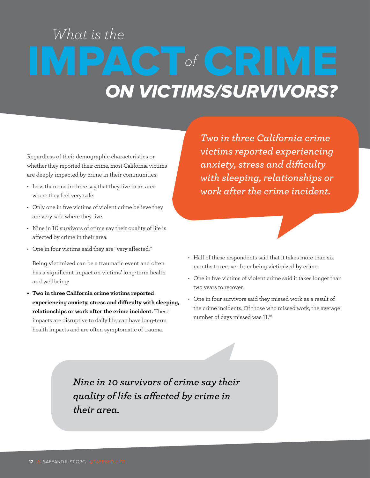## IMPACT<sup>of</sup> CRIME *What is the*  on Victims/Survivors? *of*

Regardless of their demographic characteristics or whether they reported their crime, most California victims are deeply impacted by crime in their communities:

- Less than one in three say that they live in an area where they feel very safe.
- Only one in five victims of violent crime believe they are very safe where they live.
- Nine in 10 survivors of crime say their quality of life is affected by crime in their area.
- One in four victims said they are "very affected."

Being victimized can be a traumatic event and often has a significant impact on victims' long-term health and wellbeing:

**• Two in three California crime victims reported experiencing anxiety, stress and difficulty with sleeping, relationships or work after the crime incident.** These impacts are disruptive to daily life, can have long-term health impacts and are often symptomatic of trauma.

*Two in three California crime victims reported experiencing anxiety, stress and difficulty with sleeping, relationships or work after the crime incident.*

- Half of these respondents said that it takes more than six months to recover from being victimized by crime.
- • One in five victims of violent crime said it takes longer than two years to recover.
- • One in four survivors said they missed work as a result of the crime incidents. Of those who missed work, the average number of days missed was 11. 18

*Nine in 10 survivors of crime say their quality of life is affected by crime in their area.*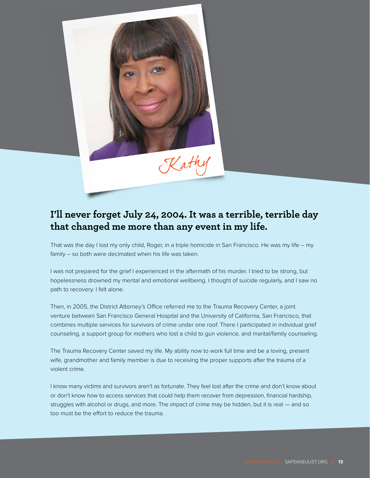

#### **I'll never forget July 24, 2004. It was a terrible, terrible day that changed me more than any event in my life.**

That was the day I lost my only child, Roger, in a triple homicide in San Francisco. He was my life – my family – so both were decimated when his life was taken.

I was not prepared for the grief I experienced in the aftermath of his murder. I tried to be strong, but hopelessness drowned my mental and emotional wellbeing. I thought of suicide regularly, and I saw no path to recovery. I felt alone.

Then, in 2005, the District Attorney's Office referred me to the Trauma Recovery Center, a joint venture between San Francisco General Hospital and the University of California, San Francisco, that combines multiple services for survivors of crime under one roof. There I participated in individual grief counseling, a support group for mothers who lost a child to gun violence, and marital/family counseling.

The Trauma Recovery Center saved my life. My ability now to work full time and be a loving, present wife, grandmother and family member is due to receiving the proper supports after the trauma of a violent crime.

I know many victims and survivors aren't as fortunate. They feel lost after the crime and don't know about or don't know *how* to access services that could help them recover from depression, financial hardship, struggles with alcohol or drugs, and more. The impact of crime may be hidden, but it is real - and so too must be the effort to reduce the trauma.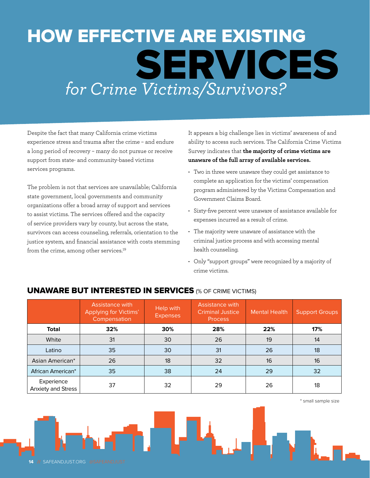## HOW Effective Are Existing *for Crime Victims/Survivors?* Services

Despite the fact that many California crime victims experience stress and trauma after the crime – and endure a long period of recovery – many do not pursue or receive support from state- and community-based victims services programs.

The problem is not that services are unavailable; California state government, local governments and community organizations offer a broad array of support and services to assist victims. The services offered and the capacity of service providers vary by county, but across the state, survivors can access counseling, referrals, orientation to the justice system, and financial assistance with costs stemming from the crime, among other services. 19

It appears a big challenge lies in victims' awareness of and ability to access such services. The California Crime Victims Survey indicates that **the majority of crime victims are unaware of the full array of available services.**

- • Two in three were unaware they could get assistance to complete an application for the victims' compensation program administered by the Victims Compensation and Government Claims Board.
- • Sixty-five percent were unaware of assistance available for expenses incurred as a result of crime.
- • The majority were unaware of assistance with the criminal justice process and with accessing mental health counseling.
- • Only "support groups" were recognized by a majority of crime victims.

|                                         | Assistance with<br>Applying for Victims'<br>Compensation | Help with<br><b>Expenses</b> | Assistance with<br><b>Criminal Justice</b><br><b>Process</b> | <b>Mental Health</b> | <b>Support Groups</b> |
|-----------------------------------------|----------------------------------------------------------|------------------------------|--------------------------------------------------------------|----------------------|-----------------------|
| <b>Total</b>                            | 32%                                                      | 30%                          | 28%                                                          | 22%                  | 17%                   |
| White                                   | 31                                                       | 30                           | 26                                                           | 19                   | 14                    |
| Latino                                  | 35                                                       | 30                           | 31                                                           | 26                   | 18                    |
| Asian American*                         | 26                                                       | 18                           | 32                                                           | 16                   | 16                    |
| African American*                       | 35                                                       | 38                           | 24                                                           | 29                   | 32                    |
| Experience<br><b>Anxiety and Stress</b> | 37                                                       | 32                           | 29                                                           | 26                   | 18                    |

#### UNAWARE BUT INTERESTED IN SERVICES (% OF CRIME VICTIMS)

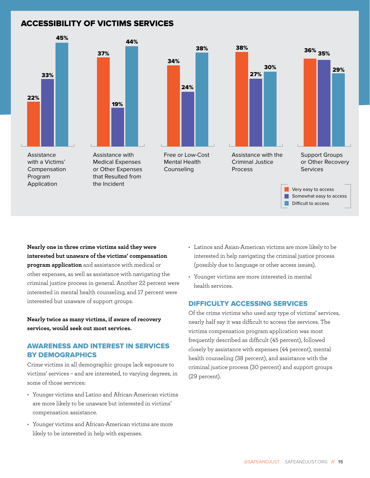#### Accessibility of victims services





Assistance with a Victims' Compensation Program Application

Assistance with Medical Expenses or Other Expenses that Resulted from the Incident



Free or Low-Cost Mental Health Counseling



Difficult to access

**Nearly one in three crime victims said they were interested but unaware of the victims' compensation program application** and assistance with medical or other expenses, as well as assistance with navigating the criminal justice process in general. Another 22 percent were interested in mental health counseling, and 17 percent were interested but unaware of support groups.

**Nearly twice as many victims, if aware of recovery services, would seek out most services.** 

#### Awareness and Interest in Services **BY DEMOGRAPHICS**

Crime victims in all demographic groups lack exposure to victims' services – and are interested, to varying degrees, in some of those services:

- • Younger victims and Latino and African-American victims are more likely to be unaware but interested in victims' compensation assistance.
- Younger victims and African-American victims are more likely to be interested in help with expenses.
- • Latinos and Asian-American victims are more likely to be interested in help navigating the criminal justice process (possibly due to language or other access issues).
- • Younger victims are more interested in mental health services.

#### Difficulty Accessing Services

Of the crime victims who used any type of victims' services, nearly half say it was difficult to access the services. The victims compensation program application was most frequently described as difficult (45 percent), followed closely by assistance with expenses (44 percent), mental health counseling (38 percent), and assistance with the criminal justice process (30 percent) and support groups (29 percent).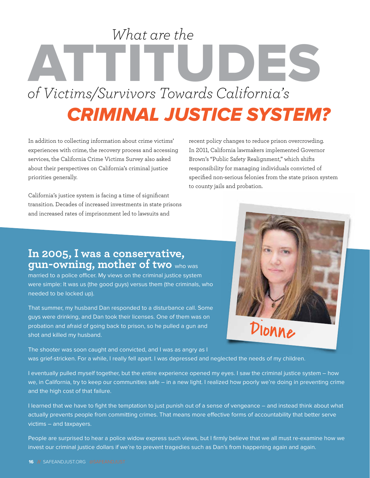## *of Victims/Survivors Towards California's What are the* Attitudes Criminal Justice System?

In addition to collecting information about crime victims' experiences with crime, the recovery process and accessing services, the California Crime Victims Survey also asked about their perspectives on California's criminal justice priorities generally.

California's justice system is facing a time of significant transition. Decades of increased investments in state prisons and increased rates of imprisonment led to lawsuits and

recent policy changes to reduce prison overcrowding. In 2011, California lawmakers implemented Governor Brown's "Public Safety Realignment," which shifts responsibility for managing individuals convicted of specified non-serious felonies from the state prison system to county jails and probation.

#### **In 2005, I was a conservative, gun-owning, mother of two** who was

married to a police officer. My views on the criminal justice system were simple: It was us (the good guys) versus them (the criminals, who needed to be locked up).

That summer, my husband Dan responded to a disturbance call. Some guys were drinking, and Dan took their licenses. One of them was on probation and afraid of going back to prison, so he pulled a gun and shot and killed my husband.

The shooter was soon caught and convicted, and I was as angry as I was grief-stricken. For a while, I really fell apart. I was depressed and neglected the needs of my children.

I eventually pulled myself together, but the entire experience opened my eyes. I saw the criminal justice system – how we, in California, try to keep our communities safe – in a new light. I realized how poorly we're doing in preventing crime and the high cost of that failure.

I learned that we have to fight the temptation to just punish out of a sense of vengeance – and instead think about what actually prevents people from committing crimes. That means more effective forms of accountability that better serve victims – and taxpayers.

People are surprised to hear a police widow express such views, but I firmly believe that we all must re-examine how we invest our criminal justice dollars if we're to prevent tragedies such as Dan's from happening again and again.

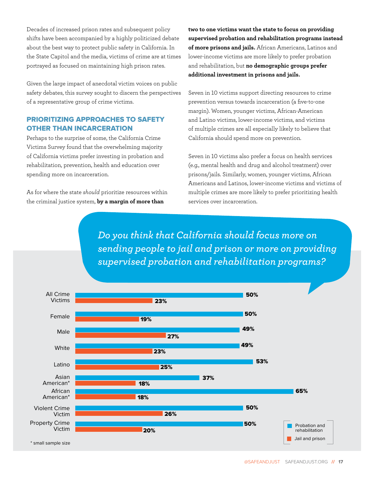Decades of increased prison rates and subsequent policy shifts have been accompanied by a highly politicized debate about the best way to protect public safety in California. In the State Capitol and the media, victims of crime are at times portrayed as focused on maintaining high prison rates.

Given the large impact of anecdotal victim voices on public safety debates, this survey sought to discern the perspectives of a representative group of crime victims.

#### Prioritizing Approaches to Safety other than incarceration

Perhaps to the surprise of some, the California Crime Victims Survey found that the overwhelming majority of California victims prefer investing in probation and rehabilitation, prevention, health and education over spending more on incarceration.

As for where the state *should* prioritize resources within the criminal justice system, **by a margin of more than** 

**two to one victims want the state to focus on providing supervised probation and rehabilitation programs instead of more prisons and jails.** African Americans, Latinos and lower-income victims are more likely to prefer probation and rehabilitation, but **no demographic groups prefer additional investment in prisons and jails.** 

Seven in 10 victims support directing resources to crime prevention versus towards incarceration (a five-to-one margin). Women, younger victims, African-American and Latino victims, lower-income victims, and victims of multiple crimes are all especially likely to believe that California should spend more on prevention.

Seven in 10 victims also prefer a focus on health services (e.g., mental health and drug and alcohol treatment) over prisons/jails. Similarly, women, younger victims, African Americans and Latinos, lower-income victims and victims of multiple crimes are more likely to prefer prioritizing health services over incarceration.

*Do you think that California should focus more on sending people to jail and prison or more on providing supervised probation and rehabilitation programs?* 

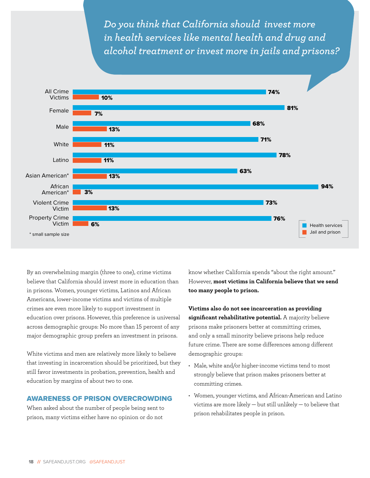*Do you think that California should invest more in health services like mental health and drug and alcohol treatment or invest more in jails and prisons?* 



By an overwhelming margin (three to one), crime victims believe that California should invest more in education than in prisons. Women, younger victims, Latinos and African Americans, lower-income victims and victims of multiple crimes are even more likely to support investment in education over prisons. However, this preference is universal across demographic groups: No more than 15 percent of any major demographic group prefers an investment in prisons.

White victims and men are relatively more likely to believe that investing in incarceration should be prioritized, but they still favor investments in probation, prevention, health and education by margins of about two to one.

#### Awareness of Prison Overcrowding

When asked about the number of people being sent to prison, many victims either have no opinion or do not

know whether California spends "about the right amount." However, **most victims in California believe that we send too many people to prison.**

**Victims also do not see incarceration as providing significant rehabilitative potential.** A majority believe prisons make prisoners better at committing crimes, and only a small minority believe prisons help reduce future crime. There are some differences among different demographic groups:

- Male, white and/or higher-income victims tend to most strongly believe that prison makes prisoners better at committing crimes.
- • Women, younger victims, and African-American and Latino victims are more likely — but still unlikely — to believe that prison rehabilitates people in prison.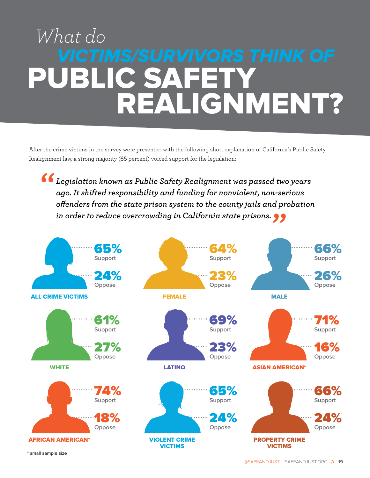# UBLIC SAFETI *What do*  **REALIGNMENT?**

After the crime victims in the survey were presented with the following short explanation of California's Public Safety Realignment law, a strong majority (65 percent) voiced support for the legislation:

*Legislation known as Public Safety Realignment was passed two years ago. It shifted responsibility and funding for nonviolent, non-serious offenders from the state prison system to the county jails and probation in order to reduce overcrowding in California state prisons.* **" "**

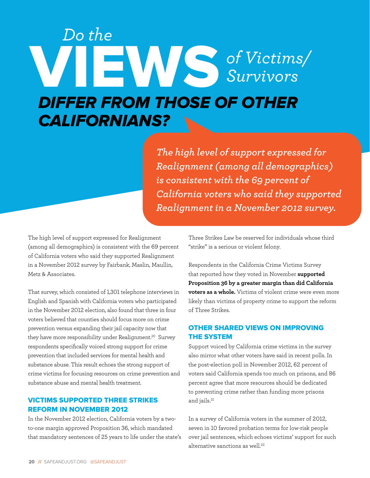### Differ from Those of Other Californians? **VIEWS** *Do the of Victims/ Survivors*

*The high level of support expressed for Realignment (among all demographics) is consistent with the 69 percent of California voters who said they supported Realignment in a November 2012 survey.*

The high level of support expressed for Realignment (among all demographics) is consistent with the 69 percent of California voters who said they supported Realignment in a November 2012 survey by Fairbank, Maslin, Maullin, Metz & Associates.

That survey, which consisted of 1,301 telephone interviews in English and Spanish with California voters who participated in the November 2012 election, also found that three in four voters believed that counties should focus more on crime prevention versus expanding their jail capacity now that they have more responsibility under Realignment. 20 Survey respondents specifically voiced strong support for crime prevention that included services for mental health and substance abuse. This result echoes the strong support of crime victims for focusing resources on crime prevention and substance abuse and mental health treatment.

#### Victims Supported Three Strikes Reform in November 2012

In the November 2012 election, California voters by a twoto-one margin approved Proposition 36, which mandated that mandatory sentences of 25 years to life under the state's Three Strikes Law be reserved for individuals whose third "strike" is a serious or violent felony.

Respondents in the California Crime Victims Survey that reported how they voted in November **supported Proposition 36 by a greater margin than did California voters as a whole.** Victims of violent crime were even more likely than victims of property crime to support the reform of Three Strikes.

#### Other Shared Views on Improving the System

Support voiced by California crime victims in the survey also mirror what other voters have said in recent polls. In the post-election poll in November 2012, 62 percent of voters said California spends too much on prisons, and 86 percent agree that more resources should be dedicated to preventing crime rather than funding more prisons and jails. 21

In a survey of California voters in the summer of 2012, seven in 10 favored probation terms for low-risk people over jail sentences, which echoes victims' support for such alternative sanctions as well. 22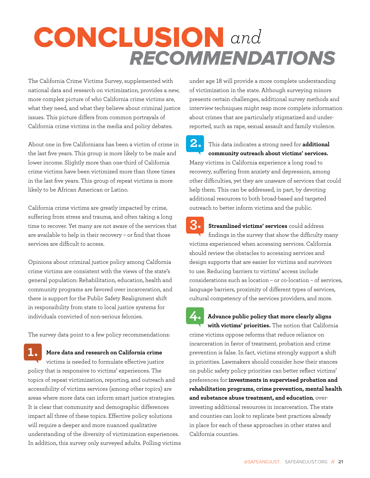## **RECOMMENDATIONS** Conclusion *and*

The California Crime Victims Survey, supplemented with national data and research on victimization, provides a new, more complex picture of who California crime victims are, what they need, and what they believe about criminal justice issues. This picture differs from common portrayals of California crime victims in the media and policy debates.

About one in five Californians has been a victim of crime in the last five years. This group is more likely to be male and lower income. Slightly more than one-third of California crime victims have been victimized more than three times in the last five years. This group of repeat victims is more likely to be African American or Latino.

California crime victims are greatly impacted by crime, suffering from stress and trauma, and often taking a long time to recover. Yet many are not aware of the services that are available to help in their recovery – or find that those services are difficult to access.

Opinions about criminal justice policy among California crime victims are consistent with the views of the state's general population: Rehabilitation, education, health and community programs are favored over incarceration, and there is support for the Public Safety Realignment shift in responsibility from state to local justice systems for individuals convicted of non-serious felonies.

The survey data point to a few policy recommendations:

**More data and research on California crime 1.**

victims is needed to formulate effective justice policy that is responsive to victims' experiences. The topics of repeat victimization, reporting, and outreach and accessibility of victims services (among other topics) are areas where more data can inform smart justice strategies. It is clear that community and demographic differences impact all three of these topics. Effective policy solutions will require a deeper and more nuanced qualitative understanding of the diversity of victimization experiences. In addition, this survey only surveyed adults. Polling victims under age 18 will provide a more complete understanding of victimization in the state. Although surveying minors presents certain challenges, additional survey methods and interview techniques might reap more complete information about crimes that are particularly stigmatized and underreported, such as rape, sexual assault and family violence.

- This data indicates a strong need for **additional community outreach about victims' services.** Many victims in California experience a long road to recovery, suffering from anxiety and depression, among other difficulties, yet they are unaware of services that could help them. This can be addressed, in part, by devoting additional resources to both broad-based and targeted outreach to better inform victims and the public. **2.**
- **Streamlined victims' services** could address findings in the survey that show the difficulty many victims experienced when accessing services. California should review the obstacles to accessing services and design supports that are easier for victims and survivors to use. Reducing barriers to victims' access include considerations such as location – or co-location – of services, language barriers, proximity of different types of services, cultural competency of the services providers, and more. **3.**
- **4.**

**Advance public policy that more clearly aligns** 

**with victims' priorities.** The notion that California crime victims oppose reforms that reduce reliance on incarceration in favor of treatment, probation and crime prevention is false. In fact, victims strongly support a shift in priorities. Lawmakers should consider how their stances on public safety policy priorities can better reflect victims' preferences for **investments in supervised probation and rehabilitation programs, crime prevention, mental health and substance abuse treatment, and education**, overinvesting additional resources in incarceration. The state and counties can look to replicate best practices already in place for each of these approaches in other states and California counties.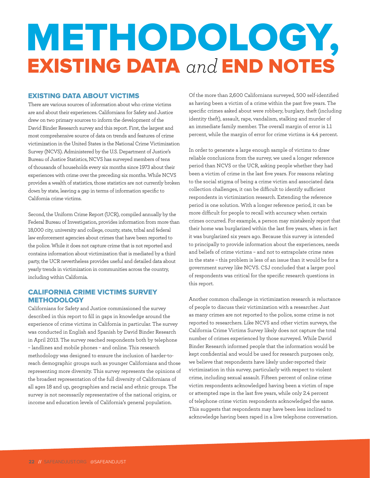# existing Data *and* End notes methodology,

#### Existing Data About Victims

There are various sources of information about who crime victims are and about their experiences. Californians for Safety and Justice drew on two primary sources to inform the development of the David Binder Research survey and this report. First, the largest and most comprehensive source of data on trends and features of crime victimization in the United States is the National Crime Victimization Survey (NCVS). Administered by the U.S. Department of Justice's Bureau of Justice Statistics, NCVS has surveyed members of tens of thousands of households every six months since 1973 about their experiences with crime over the preceding six months. While NCVS provides a wealth of statistics, those statistics are not currently broken down by state, leaving a gap in terms of information specific to California crime victims.

Second, the Uniform Crime Report (UCR), compiled annually by the Federal Bureau of Investigation, provides information from more than 18,000 city, university and college, county, state, tribal and federal law enforcement agencies about crimes that have been reported to the police. While it does not capture crime that is not reported and contains information about victimization that is mediated by a third party, the UCR nevertheless provides useful and detailed data about yearly trends in victimization in communities across the country, including within California.

#### California Crime Victims Survey **METHODOLOGY**

Californians for Safety and Justice commissioned the survey described in this report to fill in gaps in knowledge around the experience of crime victims in California in particular. The survey was conducted in English and Spanish by David Binder Research in April 2013. The survey reached respondents both by telephone – landlines and mobile phones – and online. This research methodology was designed to ensure the inclusion of harder-toreach demographic groups such as younger Californians and those representing more diversity. This survey represents the opinions of the broadest representation of the full diversity of Californians of all ages 18 and up, geographies and racial and ethnic groups. The survey is not necessarily representative of the national origins, or income and education levels of California's general population.

Of the more than 2,600 Californians surveyed, 500 self-identified as having been a victim of a crime within the past five years. The specific crimes asked about were robbery, burglary, theft (including identity theft), assault, rape, vandalism, stalking and murder of an immediate family member. The overall margin of error is 1.1 percent, while the margin of error for crime victims is 4.4 percent.

In order to generate a large enough sample of victims to draw reliable conclusions from the survey, we used a longer reference period than NCVS or the UCR, asking people whether they had been a victim of crime in the last five years. For reasons relating to the social stigma of being a crime victim and associated data collection challenges, it can be difficult to identify sufficient respondents in victimization research. Extending the reference period is one solution. With a longer reference period, it can be more difficult for people to recall with accuracy when certain crimes occurred. For example, a person may mistakenly report that their home was burglarized within the last five years, when in fact it was burglarized six years ago. Because this survey is intended to principally to provide information about the experiences, needs and beliefs of crime victims – and not to extrapolate crime rates in the state – this problem is less of an issue than it would be for a government survey like NCVS. CSJ concluded that a larger pool of respondents was critical for the specific research questions in this report.

Another common challenge in victimization research is reluctance of people to discuss their victimization with a researcher. Just as many crimes are not reported to the police, some crime is not reported to researchers. Like NCVS and other victim surveys, the California Crime Victims Survey likely does not capture the total number of crimes experienced by those surveyed. While David Binder Research informed people that the information would be kept confidential and would be used for research purposes only, we believe that respondents have likely under-reported their victimization in this survey, particularly with respect to violent crime, including sexual assault. Fifteen percent of online crime victim respondents acknowledged having been a victim of rape or attempted rape in the last five years, while only 2.4 percent of telephone crime victim respondents acknowledged the same. This suggests that respondents may have been less inclined to acknowledge having been raped in a live telephone conversation.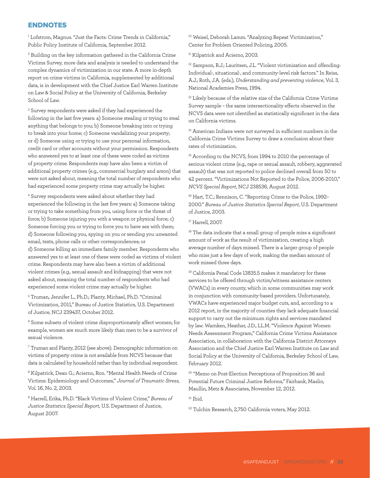#### **ENDNOTES**

<sup>1</sup> Lofstrom, Magnus. "Just the Facts: Crime Trends in California," Public Policy Institute of California, September 2012.

2 Building on the key information gathered in the California Crime Victims Survey, more data and analysis is needed to understand the complex dynamics of victimization in our state. A more in-depth report on crime victims in California, supplemented by additional data, is in development with the Chief Justice Earl Warren Institute on Law & Social Policy at the University of California, Berkeley School of Law.

<sup>3</sup> Survey respondents were asked if they had experienced the following in the last five years: a) Someone stealing or trying to steal anything that belongs to you; b) Someone breaking into or trying to break into your home; c) Someone vandalizing your property; or d) Someone using or trying to use your personal information, credit card or other accounts without your permission. Respondents who answered yes to at least one of these were coded as victims of property crime. Respondents may have also been a victim of additional property crimes (e.g., commercial burglary and arson) that were not asked about, meaning the total number of respondents who had experienced some property crime may actually be higher.

4 Survey respondents were asked about whether they had experienced the following in the last five years: a) Someone taking or trying to take something from you, using force or the threat of force; b) Someone injuring you with a weapon or physical force; c) Someone forcing you or trying to force you to have sex with them; d) Someone following you, spying on you or sending you unwanted email, texts, phone calls or other correspondences; or d) Someone killing an immediate family member. Respondents who answered yes to at least one of these were coded as victims of violent crime. Respondents may have also been a victim of additional violent crimes (e.g., sexual assault and kidnapping) that were not asked about, meaning the total number of respondents who had experienced some violent crime may actually be higher.

5 Truman, Jennifer L., Ph.D.; Planty, Michael, Ph.D. "Criminal Victimization, 2011," Bureau of Justice Statistics, U.S. Department of Justice, NCJ 239437, October 2012.

<sup>6</sup> Some subsets of violent crime disproportionately affect women; for example, women are much more likely than men to be a survivor of sexual violence.

7 Truman and Planty, 2012 (see above). Demographic information on victims of property crime is not available from NCVS because that data is calculated by household rather than by individual respondent.

<sup>8</sup> Kilpatrick, Dean G.; Acierno, Ron. "Mental Health Needs of Crime Victims: Epidemiology and Outcomes," *Journal of Traumatic Stress*, Vol. 16, No. 2, 2003.

9 Harrell, Erika, Ph.D. "Black Victims of Violent Crime," *Bureau of Justice Statistics Special Report*, U.S. Department of Justice, August 2007.

<sup>10</sup> Weisel, Deborah Lamm. "Analyzing Repeat Victimization," Center for Problem Oriented Policing, 2005.

<sup>11</sup> Kilpatrick and Acierno, 2003.

<sup>12</sup> Sampson, R.J.; Lauritsen, J.L. "Violent victimization and offending: Individual-, situational-, and community-level risk factors." In Reiss, A.J.; Roth, J.A. (eds.), *Understanding and preventing violence*, Vol. 3, National Academies Press, 1994.

<sup>13</sup> Likely because of the relative size of the California Crime Victims Survey sample – the same intersectionality effects observed in the NCVS data were not identified as statistically significant in the data on California victims.

 $14$  American Indians were not surveyed in sufficient numbers in the California Crime Victims Survey to draw a conclusion about their rates of victimization.

<sup>15</sup> According to the NCVS, from 1994 to 2010 the percentage of serious violent crime (e.g., rape or sexual assault, robbery, aggravated assault) that was not reported to police declined overall from 50 to 42 percent. "Victimizations Not Reported to the Police, 2006-2010," *NCVS Special Report*, NCJ 238536, August 2012.

<sup>16</sup> Hart, T.C.; Rennison, C. "Reporting Crime to the Police, 1992-2000." *Bureau of Justice Statistics Special Report*, U.S. Department of Justice, 2003.

17 Harrell, 2007.

 $18$  The data indicate that a small group of people miss a significant amount of work as the result of victimization, creating a high average number of days missed. There is a larger group of people who miss just a few days of work, making the median amount of work missed three days.

<sup>19</sup> California Penal Code 13835.5 makes it mandatory for these services to be offered through victim/witness assistance centers (VWACs) in every county, which in some communities may work in conjunction with community-based providers. Unfortunately, VWACs have experienced major budget cuts, and, according to a 2012 report, in the majority of counties they lack adequate financial support to carry out the minimum rights and services mandated by law. Warnken, Heather, J.D., LL.M. "Violence Against Women Needs Assessment Program," California Crime Victims Assistance Association, in collaboration with the California District Attorneys Association and the Chief Justice Earl Warren Institute on Law and Social Policy at the University of California, Berkeley School of Law, February 2012.

<sup>20</sup> "Memo on Post-Election Perceptions of Proposition 36 and Potential Future Criminal Justice Reforms," Fairbank, Maslin, Maullin, Metz & Associates, November 12, 2012.

21 Ibid.

22 Tulchin Research, 2,750 California voters, May 2012.